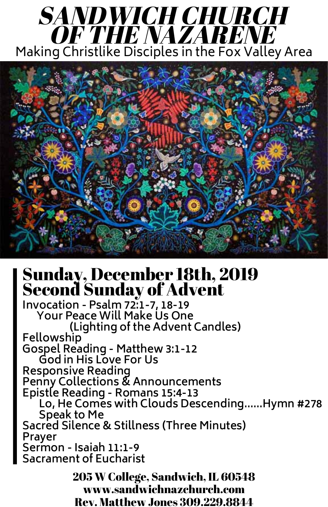## Sunday, December 18th, 2019 Second Sunday of Advent

**Invocation - Psalm 72:1-7, 18-19 Your Peace Will Make Us One (Lighting of the Advent Candles) Fellowship Gospel Reading - Matthew 3:1-12 God in His Love For Us Responsive Reading Penny Collections & Announcements Epistle Reading - Romans 15:4-13 Lo, He Comes with Clouds Descending......Hymn #278 Speak to Me Sacred Silence & Stillness (Three Minutes) Prayer Sermon - Isaiah 11:1-9 Sacrament of Eucharist**

## SANDWICH CHURCH OF THE NAZARENE Making Christlike Disciples in the Fox Valley Area



205 W College, Sandwich, IL 60548 www.sandwichnazchurch.com Rev. Matthew Jones 309.229.8844